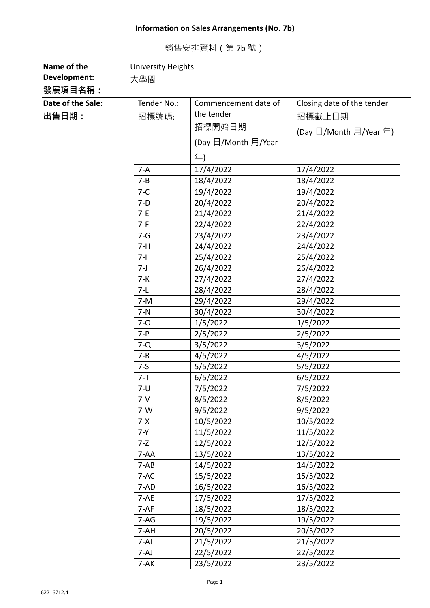## **Information on Sales Arrangements (No. 7b)**

| 銷售安排資料 (第 7b 號) |
|-----------------|
|-----------------|

| Name of the       | <b>University Heights</b> |                      |                            |  |  |
|-------------------|---------------------------|----------------------|----------------------------|--|--|
| Development:      | 大學閣                       |                      |                            |  |  |
| <b>│發展項目名稱:</b>   |                           |                      |                            |  |  |
| Date of the Sale: | Tender No.:               | Commencement date of | Closing date of the tender |  |  |
| │出售日期:            | 招標號碼:                     | the tender           | 招標截止日期                     |  |  |
|                   |                           | 招標開始日期               |                            |  |  |
|                   |                           |                      | (Day 日/Month 月/Year 年)     |  |  |
|                   |                           | (Day 日/Month 月/Year  |                            |  |  |
|                   |                           | 年)                   |                            |  |  |
|                   | $7-A$                     | 17/4/2022            | 17/4/2022                  |  |  |
|                   | $7 - B$                   | 18/4/2022            | 18/4/2022                  |  |  |
|                   | $7-C$                     | 19/4/2022            | 19/4/2022                  |  |  |
|                   | $7-D$                     | 20/4/2022            | 20/4/2022                  |  |  |
|                   | $7-E$                     | 21/4/2022            | 21/4/2022                  |  |  |
|                   | $7-F$                     | 22/4/2022            | 22/4/2022                  |  |  |
|                   | $7 - G$                   | 23/4/2022            | 23/4/2022                  |  |  |
|                   | $7-H$                     | 24/4/2022            | 24/4/2022                  |  |  |
|                   | $7 - 1$                   | 25/4/2022            | 25/4/2022                  |  |  |
|                   | $7 - J$                   | 26/4/2022            | 26/4/2022                  |  |  |
|                   | $7-K$                     | 27/4/2022            | 27/4/2022                  |  |  |
|                   | $7-L$                     | 28/4/2022            | 28/4/2022                  |  |  |
|                   | $7-M$                     | 29/4/2022            | 29/4/2022                  |  |  |
|                   | $7-N$                     | 30/4/2022            | 30/4/2022                  |  |  |
|                   | $7 - 0$                   | 1/5/2022             | 1/5/2022                   |  |  |
|                   | $7 - P$                   | 2/5/2022             | 2/5/2022                   |  |  |
|                   | $7 - Q$                   | 3/5/2022             | 3/5/2022                   |  |  |
|                   | $7 - R$                   | 4/5/2022             | 4/5/2022                   |  |  |
|                   | $7-5$                     | 5/5/2022             | 5/5/2022                   |  |  |
|                   | $7 - T$                   | 6/5/2022             | 6/5/2022                   |  |  |
|                   | 7-U                       | 7/5/2022             | 7/5/2022                   |  |  |
|                   | $7 - V$                   | 8/5/2022             | 8/5/2022                   |  |  |
|                   | $7-W$                     | 9/5/2022             | 9/5/2022                   |  |  |
|                   | $7 - X$                   | 10/5/2022            | 10/5/2022                  |  |  |
|                   | $7 - Y$                   | 11/5/2022            | 11/5/2022                  |  |  |
|                   | $7 - Z$                   | 12/5/2022            | 12/5/2022                  |  |  |
|                   | $7 - AA$                  | 13/5/2022            | 13/5/2022                  |  |  |
|                   | $7 - AB$                  | 14/5/2022            | 14/5/2022                  |  |  |
|                   | 7-AC                      | 15/5/2022            | 15/5/2022                  |  |  |
|                   | $7 - AD$                  | 16/5/2022            | 16/5/2022                  |  |  |
|                   | $7 - AE$                  | 17/5/2022            | 17/5/2022                  |  |  |
|                   | $7-AF$                    | 18/5/2022            | 18/5/2022                  |  |  |
|                   | $7-AG$                    | 19/5/2022            | 19/5/2022                  |  |  |
|                   | 7-AH                      | 20/5/2022            | 20/5/2022                  |  |  |
|                   | $7-AI$                    | 21/5/2022            | 21/5/2022                  |  |  |
|                   | 7-AJ                      | 22/5/2022            | 22/5/2022                  |  |  |
|                   | $7-AK$                    | 23/5/2022            | 23/5/2022                  |  |  |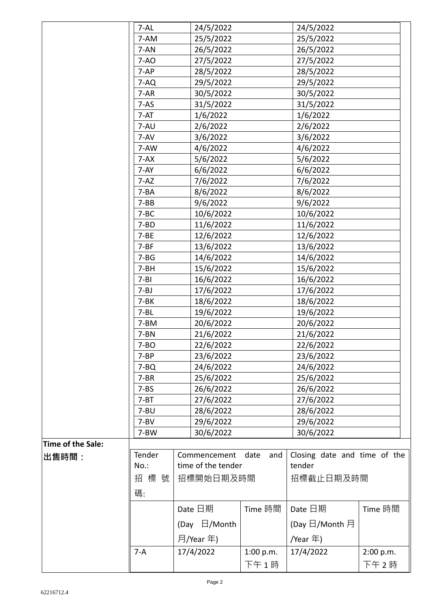|                   | $7 - AL$  |      | 24/5/2022          |             | 24/5/2022                    |           |
|-------------------|-----------|------|--------------------|-------------|------------------------------|-----------|
|                   | 7-AM      |      | 25/5/2022          |             | 25/5/2022                    |           |
|                   | 7-AN      |      | 26/5/2022          |             | 26/5/2022                    |           |
|                   | $7-AO$    |      | 27/5/2022          |             | 27/5/2022                    |           |
|                   | $7-AP$    |      | 28/5/2022          |             | 28/5/2022                    |           |
|                   | $7-AQ$    |      | 29/5/2022          |             | 29/5/2022                    |           |
|                   | $7 - AR$  |      | 30/5/2022          |             | 30/5/2022                    |           |
|                   | $7-AS$    |      | 31/5/2022          |             | 31/5/2022                    |           |
|                   | $7 - AT$  |      | 1/6/2022           |             | 1/6/2022                     |           |
|                   | 7-AU      |      | 2/6/2022           |             | 2/6/2022                     |           |
|                   | 7-AV      |      | 3/6/2022           |             | 3/6/2022                     |           |
|                   | 7-AW      |      | 4/6/2022           |             | 4/6/2022                     |           |
|                   | $7 - AX$  |      | 5/6/2022           |             | 5/6/2022                     |           |
|                   | $7-AY$    |      | 6/6/2022           |             | 6/6/2022                     |           |
|                   | $7 - AZ$  |      | 7/6/2022           |             | 7/6/2022                     |           |
|                   | $7 - BA$  |      | 8/6/2022           |             | 8/6/2022                     |           |
|                   | $7 - BB$  |      | 9/6/2022           |             | 9/6/2022                     |           |
|                   | $7 - BC$  |      | 10/6/2022          |             | 10/6/2022                    |           |
|                   | $7 - BD$  |      | 11/6/2022          |             | 11/6/2022                    |           |
|                   | $7 - BE$  |      | 12/6/2022          |             | 12/6/2022                    |           |
|                   | $7 - BF$  |      | 13/6/2022          |             | 13/6/2022                    |           |
|                   | $7 - BG$  |      | 14/6/2022          |             | 14/6/2022                    |           |
|                   | $7 - BH$  |      | 15/6/2022          |             | 15/6/2022                    |           |
|                   | $7 - B1$  |      | 16/6/2022          |             | 16/6/2022                    |           |
|                   | $7 - BJ$  |      | 17/6/2022          |             | 17/6/2022                    |           |
|                   | $7 - BK$  |      | 18/6/2022          |             | 18/6/2022                    |           |
|                   | $7 - BL$  |      | 19/6/2022          |             | 19/6/2022                    |           |
|                   | 7-BM      |      | 20/6/2022          |             | 20/6/2022                    |           |
|                   | $7 - BN$  |      | 21/6/2022          |             | 21/6/2022                    |           |
|                   | $7 - BO$  |      | 22/6/2022          |             | 22/6/2022                    |           |
|                   | $7 - BP$  |      | 23/6/2022          |             | 23/6/2022                    |           |
|                   | $7 - BQ$  |      | 24/6/2022          |             | 24/6/2022                    |           |
|                   | $7-BR$    |      | 25/6/2022          |             | 25/6/2022                    |           |
|                   | $7 - BS$  |      | 26/6/2022          |             | 26/6/2022                    |           |
|                   | $7 - BT$  |      | 27/6/2022          |             | 27/6/2022                    |           |
|                   | $7 - B$ U |      | 28/6/2022          |             | 28/6/2022                    |           |
|                   | $7 - BV$  |      | 29/6/2022          |             | 29/6/2022                    |           |
|                   | 7-BW      |      | 30/6/2022          |             | 30/6/2022                    |           |
| Time of the Sale: |           |      |                    |             |                              |           |
| 出售時間:             | Tender    |      | Commencement       | date<br>and | Closing date and time of the |           |
|                   | $No.$ :   |      | time of the tender |             | tender                       |           |
|                   | 招標號       |      | 招標開始日期及時間          |             | 招標截止日期及時間                    |           |
|                   | 碼:        |      |                    |             |                              |           |
|                   |           |      |                    |             |                              |           |
|                   |           |      | Date 日期            | Time 時間     | Date 日期                      | Time 時間   |
|                   |           | (Day | $\Box$ /Month      |             | (Day 日/Month 月               |           |
|                   |           |      | 月/Year 年)          |             | /Year 年)                     |           |
|                   | $7-A$     |      | 17/4/2022          | 1:00 p.m.   | 17/4/2022                    | 2:00 p.m. |
|                   |           |      |                    | 下午1時        |                              | 下午2時      |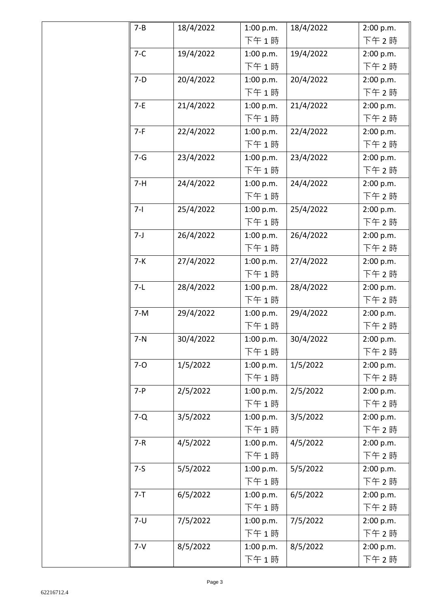| $7 - B$ | 18/4/2022 | 1:00 p.m. | 18/4/2022 | 2:00 p.m. |
|---------|-----------|-----------|-----------|-----------|
|         |           | 下午1時      |           | 下午2時      |
| $7-C$   | 19/4/2022 | 1:00 p.m. | 19/4/2022 | 2:00 p.m. |
|         |           | 下午1時      |           | 下午2時      |
| $7-D$   | 20/4/2022 | 1:00 p.m. | 20/4/2022 | 2:00 p.m. |
|         |           | 下午1時      |           | 下午2時      |
| $7-E$   | 21/4/2022 | 1:00 p.m. | 21/4/2022 | 2:00 p.m. |
|         |           | 下午1時      |           | 下午2時      |
| $7-F$   | 22/4/2022 | 1:00 p.m. | 22/4/2022 | 2:00 p.m. |
|         |           | 下午1時      |           | 下午2時      |
| $7 - G$ | 23/4/2022 | 1:00 p.m. | 23/4/2022 | 2:00 p.m. |
|         |           | 下午1時      |           | 下午2時      |
| $7-H$   | 24/4/2022 | 1:00 p.m. | 24/4/2022 | 2:00 p.m. |
|         |           | 下午1時      |           | 下午2時      |
| $7-1$   | 25/4/2022 | 1:00 p.m. | 25/4/2022 | 2:00 p.m. |
|         |           | 下午1時      |           | 下午2時      |
| $7 - J$ | 26/4/2022 | 1:00 p.m. | 26/4/2022 | 2:00 p.m. |
|         |           | 下午1時      |           | 下午2時      |
| $7-K$   | 27/4/2022 | 1:00 p.m. | 27/4/2022 | 2:00 p.m. |
|         |           | 下午1時      |           | 下午2時      |
| $7-L$   | 28/4/2022 | 1:00 p.m. | 28/4/2022 | 2:00 p.m. |
|         |           | 下午1時      |           | 下午2時      |
| $7-M$   | 29/4/2022 | 1:00 p.m. | 29/4/2022 | 2:00 p.m. |
|         |           | 下午1時      |           | 下午2時      |
| $7-N$   | 30/4/2022 | 1:00 p.m. | 30/4/2022 | 2:00 p.m. |
|         |           | 下午1時      |           | 下午 2 時    |
| $7-0$   | 1/5/2022  | 1:00 p.m. | 1/5/2022  | 2:00 p.m. |
|         |           | 下午1時      |           | 下午2時      |
| $7-P$   | 2/5/2022  | 1:00 p.m. | 2/5/2022  | 2:00 p.m. |
|         |           | 下午1時      |           | 下午2時      |
| $7-Q$   | 3/5/2022  | 1:00 p.m. | 3/5/2022  | 2:00 p.m. |
|         |           | 下午1時      |           | 下午2時      |
| $7-R$   | 4/5/2022  | 1:00 p.m. | 4/5/2022  | 2:00 p.m. |
|         |           | 下午1時      |           | 下午2時      |
| $7-5$   | 5/5/2022  | 1:00 p.m. | 5/5/2022  | 2:00 p.m. |
|         |           | 下午1時      |           | 下午2時      |
| $7 - T$ | 6/5/2022  | 1:00 p.m. | 6/5/2022  | 2:00 p.m. |
|         |           | 下午1時      |           | 下午 2時     |
| $7 - U$ | 7/5/2022  | 1:00 p.m. | 7/5/2022  | 2:00 p.m. |
|         |           | 下午1時      |           | 下午2時      |
| $7 - V$ | 8/5/2022  | 1:00 p.m. | 8/5/2022  | 2:00 p.m. |
|         |           | 下午1時      |           | 下午 2時     |
|         |           |           |           |           |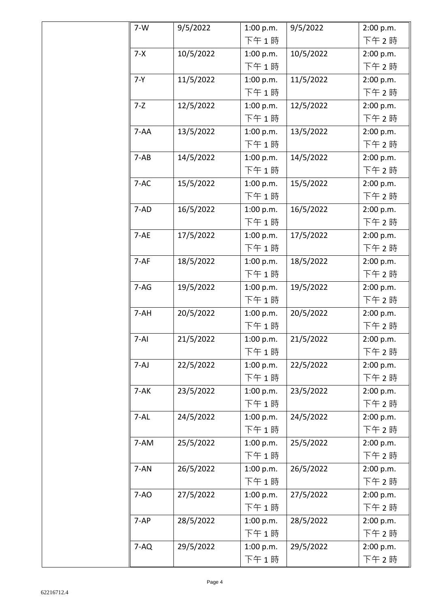| $7-W$    | 9/5/2022  | 1:00 p.m. | 9/5/2022  | 2:00 p.m. |
|----------|-----------|-----------|-----------|-----------|
|          |           | 下午1時      |           | 下午 2時     |
| $7 - X$  | 10/5/2022 | 1:00 p.m. | 10/5/2022 | 2:00 p.m. |
|          |           | 下午1時      |           | 下午 2時     |
| $7 - Y$  | 11/5/2022 | 1:00 p.m. | 11/5/2022 | 2:00 p.m. |
|          |           | 下午1時      |           | 下午 2時     |
| $7 - Z$  | 12/5/2022 | 1:00 p.m. | 12/5/2022 | 2:00 p.m. |
|          |           | 下午1時      |           | 下午 2時     |
| $7 - AA$ | 13/5/2022 | 1:00 p.m. | 13/5/2022 | 2:00 p.m. |
|          |           | 下午1時      |           | 下午 2時     |
| $7 - AB$ | 14/5/2022 | 1:00 p.m. | 14/5/2022 | 2:00 p.m. |
|          |           | 下午1時      |           | 下午 2時     |
| $7-AC$   | 15/5/2022 | 1:00 p.m. | 15/5/2022 | 2:00 p.m. |
|          |           | 下午1時      |           | 下午2時      |
| 7-AD     | 16/5/2022 | 1:00 p.m. | 16/5/2022 | 2:00 p.m. |
|          |           | 下午1時      |           | 下午 2時     |
| $7 - AE$ | 17/5/2022 | 1:00 p.m. | 17/5/2022 | 2:00 p.m. |
|          |           | 下午1時      |           | 下午 2時     |
| $7-AF$   | 18/5/2022 | 1:00 p.m. | 18/5/2022 | 2:00 p.m. |
|          |           | 下午1時      |           | 下午 2時     |
| $7-AG$   | 19/5/2022 | 1:00 p.m. | 19/5/2022 | 2:00 p.m. |
|          |           | 下午1時      |           | 下午 2時     |
| 7-AH     | 20/5/2022 | 1:00 p.m. | 20/5/2022 | 2:00 p.m. |
|          |           | 下午1時      |           | 下午2時      |
| $7-AI$   | 21/5/2022 | 1:00 p.m. | 21/5/2022 | 2:00 p.m. |
|          |           | 下午1時      |           | 下午2時      |
| $7-AJ$   | 22/5/2022 | 1:00 p.m. | 22/5/2022 | 2:00 p.m. |
|          |           | 下午1時      |           | 下午2時      |
| $7-AK$   | 23/5/2022 | 1:00 p.m. | 23/5/2022 | 2:00 p.m. |
|          |           | 下午1時      |           | 下午2時      |
| $7 - AL$ | 24/5/2022 | 1:00 p.m. | 24/5/2022 | 2:00 p.m. |
|          |           | 下午1時      |           | 下午2時      |
| 7-AM     | 25/5/2022 | 1:00 p.m. | 25/5/2022 | 2:00 p.m. |
|          |           | 下午1時      |           | 下午2時      |
| 7-AN     | 26/5/2022 | 1:00 p.m. | 26/5/2022 | 2:00 p.m. |
|          |           | 下午1時      |           | 下午 2時     |
| $7-AO$   | 27/5/2022 | 1:00 p.m. | 27/5/2022 | 2:00 p.m. |
|          |           | 下午1時      |           | 下午2時      |
| $7-AP$   | 28/5/2022 | 1:00 p.m. | 28/5/2022 | 2:00 p.m. |
|          |           | 下午1時      |           | 下午 2時     |
| $7-AQ$   | 29/5/2022 | 1:00 p.m. | 29/5/2022 | 2:00 p.m. |
|          |           | 下午1時      |           | 下午 2時     |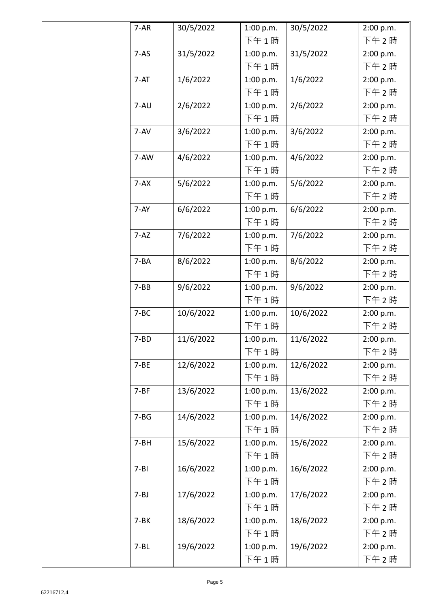| $7 - AR$ | 30/5/2022 | 1:00 p.m. | 30/5/2022 | 2:00 p.m. |
|----------|-----------|-----------|-----------|-----------|
|          |           | 下午1時      |           | 下午2時      |
| $7 - AS$ | 31/5/2022 | 1:00 p.m. | 31/5/2022 | 2:00 p.m. |
|          |           | 下午1時      |           | 下午2時      |
| $7 - AT$ | 1/6/2022  | 1:00 p.m. | 1/6/2022  | 2:00 p.m. |
|          |           | 下午1時      |           | 下午 2 時    |
| 7-AU     | 2/6/2022  | 1:00 p.m. | 2/6/2022  | 2:00 p.m. |
|          |           | 下午1時      |           | 下午 2 時    |
| 7-AV     | 3/6/2022  | 1:00 p.m. | 3/6/2022  | 2:00 p.m. |
|          |           | 下午1時      |           | 下午 2 時    |
| 7-AW     | 4/6/2022  | 1:00 p.m. | 4/6/2022  | 2:00 p.m. |
|          |           | 下午1時      |           | 下午 2 時    |
| $7 - AX$ | 5/6/2022  | 1:00 p.m. | 5/6/2022  | 2:00 p.m. |
|          |           | 下午1時      |           | 下午 2 時    |
| $7-AY$   | 6/6/2022  | 1:00 p.m. | 6/6/2022  | 2:00 p.m. |
|          |           | 下午1時      |           | 下午 2 時    |
| $7 - AZ$ | 7/6/2022  | 1:00 p.m. | 7/6/2022  | 2:00 p.m. |
|          |           | 下午1時      |           | 下午 2 時    |
| $7 - BA$ | 8/6/2022  | 1:00 p.m. | 8/6/2022  | 2:00 p.m. |
|          |           | 下午1時      |           | 下午 2 時    |
| $7 - BB$ | 9/6/2022  | 1:00 p.m. | 9/6/2022  | 2:00 p.m. |
|          |           | 下午1時      |           | 下午 2 時    |
| $7 - BC$ | 10/6/2022 | 1:00 p.m. | 10/6/2022 | 2:00 p.m. |
|          |           | 下午1時      |           | 下午 2 時    |
| $7 - BD$ | 11/6/2022 | 1:00 p.m. | 11/6/2022 | 2:00 p.m. |
|          |           | 下午1時      |           | 下午 2 時    |
| $7 - BE$ | 12/6/2022 | 1:00 p.m. | 12/6/2022 | 2:00 p.m. |
|          |           | 下午1時      |           | 下午2時      |
| $7 - BF$ | 13/6/2022 | 1:00 p.m. | 13/6/2022 | 2:00 p.m. |
|          |           | 下午1時      |           | 下午2時      |
| $7 - BG$ | 14/6/2022 | 1:00 p.m. | 14/6/2022 | 2:00 p.m. |
|          |           | 下午1時      |           | 下午 2 時    |
| $7 - BH$ | 15/6/2022 | 1:00 p.m. | 15/6/2022 | 2:00 p.m. |
|          |           | 下午1時      |           | 下午 2 時    |
| $7 - B1$ | 16/6/2022 | 1:00 p.m. | 16/6/2022 | 2:00 p.m. |
|          |           | 下午1時      |           | 下午 2 時    |
| $7 - BJ$ | 17/6/2022 | 1:00 p.m. | 17/6/2022 | 2:00 p.m. |
|          |           | 下午1時      |           | 下午2時      |
| $7-BK$   | 18/6/2022 | 1:00 p.m. | 18/6/2022 | 2:00 p.m. |
|          |           | 下午1時      |           | 下午 2時     |
| $7 - BL$ | 19/6/2022 | 1:00 p.m. | 19/6/2022 | 2:00 p.m. |
|          |           | 下午1時      |           | 下午 2時     |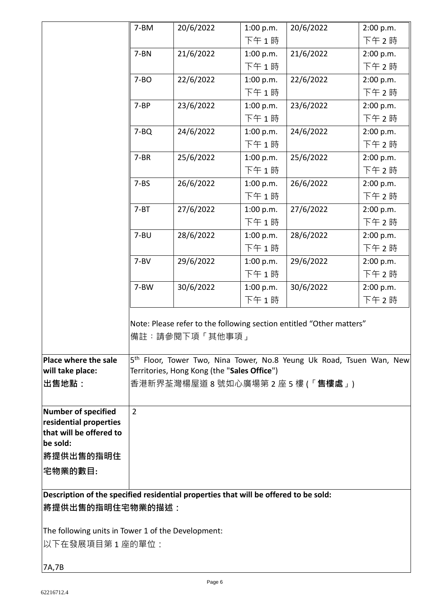|                                                                                      | 7-BM           | 20/6/2022                                   | 1:00 p.m. | 20/6/2022                                                                        | 2:00 p.m. |
|--------------------------------------------------------------------------------------|----------------|---------------------------------------------|-----------|----------------------------------------------------------------------------------|-----------|
|                                                                                      |                |                                             | 下午1時      |                                                                                  | 下午 2時     |
|                                                                                      | $7 - BN$       | 21/6/2022                                   | 1:00 p.m. | 21/6/2022                                                                        | 2:00 p.m. |
|                                                                                      |                |                                             | 下午1時      |                                                                                  | 下午 2時     |
|                                                                                      | $7 - BO$       | 22/6/2022                                   | 1:00 p.m. | 22/6/2022                                                                        | 2:00 p.m. |
|                                                                                      |                |                                             | 下午1時      |                                                                                  | 下午 2時     |
|                                                                                      | $7 - BP$       | 23/6/2022                                   | 1:00 p.m. | 23/6/2022                                                                        | 2:00 p.m. |
|                                                                                      |                |                                             | 下午1時      |                                                                                  | 下午 2時     |
|                                                                                      | $7 - BQ$       | 24/6/2022                                   | 1:00 p.m. | 24/6/2022                                                                        | 2:00 p.m. |
|                                                                                      |                |                                             | 下午1時      |                                                                                  | 下午2時      |
|                                                                                      | $7 - BR$       | 25/6/2022                                   | 1:00 p.m. | 25/6/2022                                                                        | 2:00 p.m. |
|                                                                                      |                |                                             | 下午1時      |                                                                                  | 下午2時      |
|                                                                                      | $7 - BS$       | 26/6/2022                                   | 1:00 p.m. | 26/6/2022                                                                        | 2:00 p.m. |
|                                                                                      |                |                                             | 下午1時      |                                                                                  | 下午2時      |
|                                                                                      | $7 - BT$       | 27/6/2022                                   | 1:00 p.m. | 27/6/2022                                                                        | 2:00 p.m. |
|                                                                                      |                |                                             | 下午1時      |                                                                                  | 下午2時      |
|                                                                                      | $7 - B$ U      | 28/6/2022                                   | 1:00 p.m. | 28/6/2022                                                                        | 2:00 p.m. |
|                                                                                      |                |                                             | 下午1時      |                                                                                  | 下午2時      |
|                                                                                      | $7 - BV$       | 29/6/2022                                   | 1:00 p.m. | 29/6/2022                                                                        | 2:00 p.m. |
|                                                                                      |                |                                             | 下午1時      |                                                                                  | 下午 2時     |
|                                                                                      | 7-BW           | 30/6/2022                                   | 1:00 p.m. | 30/6/2022                                                                        | 2:00 p.m. |
|                                                                                      |                |                                             | 下午1時      |                                                                                  | 下午 2時     |
|                                                                                      |                | 備註:請參閱下項「其他事項」                              |           | Note: Please refer to the following section entitled "Other matters"             |           |
| Place where the sale                                                                 |                |                                             |           | 5 <sup>th</sup> Floor, Tower Two, Nina Tower, No.8 Yeung Uk Road, Tsuen Wan, New |           |
| will take place:                                                                     |                | Territories, Hong Kong (the "Sales Office") |           |                                                                                  |           |
| 出售地點:                                                                                |                |                                             |           | 香港新界荃灣楊屋道 8 號如心廣場第 2 座 5 樓 (「 <b>售樓處</b> 」)                                      |           |
| <b>Number of specified</b>                                                           | $\overline{2}$ |                                             |           |                                                                                  |           |
| residential properties                                                               |                |                                             |           |                                                                                  |           |
| that will be offered to<br>be sold:                                                  |                |                                             |           |                                                                                  |           |
| <b> 將提供出售的指明住</b>                                                                    |                |                                             |           |                                                                                  |           |
| 宅物業的數目:                                                                              |                |                                             |           |                                                                                  |           |
| Description of the specified residential properties that will be offered to be sold: |                |                                             |           |                                                                                  |           |
| <b> 將提供出售的指明住宅物業的描述:</b>                                                             |                |                                             |           |                                                                                  |           |
|                                                                                      |                |                                             |           |                                                                                  |           |
| The following units in Tower 1 of the Development:<br> 以下在發展項目第 1 座的單位:              |                |                                             |           |                                                                                  |           |
|                                                                                      |                |                                             |           |                                                                                  |           |
| 7A,7B                                                                                |                |                                             |           |                                                                                  |           |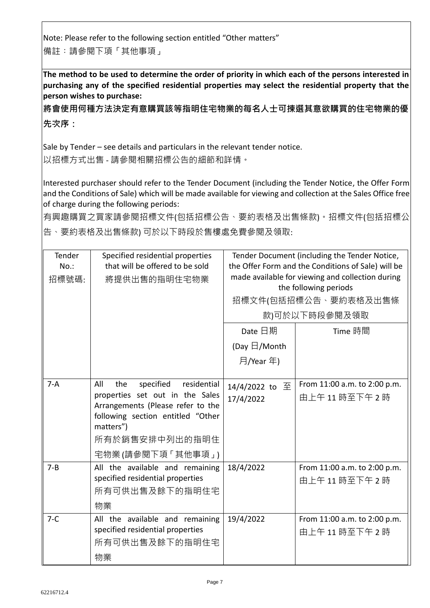Note: Please refer to the following section entitled "Other matters" 備註︰請參閱下項「其他事項」

**The method to be used to determine the order of priority in which each of the persons interested in purchasing any of the specified residential properties may select the residential property that the person wishes to purchase:** 

**將會使用何種方法決定有意購買該等指明住宅物業的每名人士可揀選其意欲購買的住宅物業的優 先次序:**

Sale by Tender – see details and particulars in the relevant tender notice. 以招標方式出售 - 請參閱相關招標公告的細節和詳情。

Interested purchaser should refer to the Tender Document (including the Tender Notice, the Offer Form and the Conditions of Sale) which will be made available for viewing and collection at the Sales Office free of charge during the following periods:

有興趣購買之買家請參閱招標文件(包括招標公告、要約表格及出售條款)。招標文件(包括招標公 告、要約表格及出售條款) 可於以下時段於售樓處免費參閱及領取:

| Tender<br>$No.$ :<br>招標號碼: | Specified residential properties<br>that will be offered to be sold<br>將提供出售的指明住宅物業                                                                                                                    | Tender Document (including the Tender Notice,<br>the Offer Form and the Conditions of Sale) will be<br>made available for viewing and collection during<br>the following periods<br>招標文件(包括招標公告、要約表格及出售條<br>款)可於以下時段參閱及領取 |                                             |  |
|----------------------------|--------------------------------------------------------------------------------------------------------------------------------------------------------------------------------------------------------|---------------------------------------------------------------------------------------------------------------------------------------------------------------------------------------------------------------------------|---------------------------------------------|--|
|                            |                                                                                                                                                                                                        | Date 日期                                                                                                                                                                                                                   | Time 時間                                     |  |
|                            |                                                                                                                                                                                                        | (Day $\boxdot$ /Month                                                                                                                                                                                                     |                                             |  |
|                            |                                                                                                                                                                                                        | 月/Year 年)                                                                                                                                                                                                                 |                                             |  |
| $7-A$                      | specified<br>All<br>the<br>residential<br>properties set out in the Sales<br>Arrangements (Please refer to the<br>following section entitled "Other<br>matters")<br>所有於銷售安排中列出的指明住<br>宅物業(請參閱下項「其他事項」) | 14/4/2022 to 至<br>17/4/2022                                                                                                                                                                                               | From 11:00 a.m. to 2:00 p.m.<br>由上午11時至下午2時 |  |
| $7 - B$                    | All the available and remaining<br>specified residential properties<br>所有可供出售及餘下的指明住宅<br>物業                                                                                                            | 18/4/2022                                                                                                                                                                                                                 | From 11:00 a.m. to 2:00 p.m.<br>由上午11時至下午2時 |  |
| $7-C$                      | All the available and remaining<br>specified residential properties<br>所有可供出售及餘下的指明住宅<br>物業                                                                                                            | 19/4/2022                                                                                                                                                                                                                 | From 11:00 a.m. to 2:00 p.m.<br>由上午11時至下午2時 |  |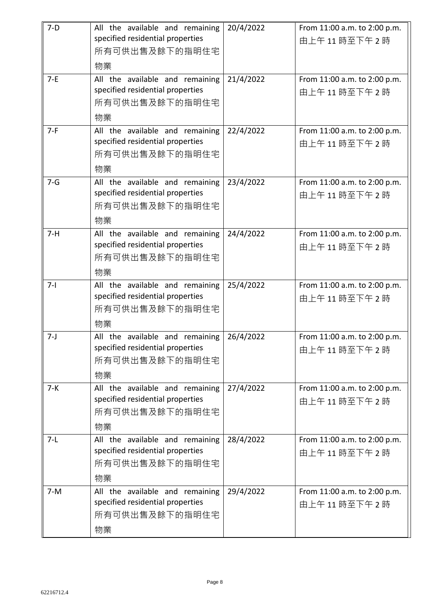| $7-D$   | All the available and remaining<br>specified residential properties | 20/4/2022 | From 11:00 a.m. to 2:00 p.m.<br>由上午11時至下午2時 |
|---------|---------------------------------------------------------------------|-----------|---------------------------------------------|
|         | 所有可供出售及餘下的指明住宅                                                      |           |                                             |
|         | 物業                                                                  |           |                                             |
| $7-E$   | All the available and remaining                                     | 21/4/2022 | From 11:00 a.m. to 2:00 p.m.                |
|         | specified residential properties<br>所有可供出售及餘下的指明住宅                  |           | 由上午11時至下午2時                                 |
|         | 物業                                                                  |           |                                             |
| $7-F$   | All the available and remaining                                     | 22/4/2022 | From 11:00 a.m. to 2:00 p.m.                |
|         | specified residential properties                                    |           | 由上午11時至下午2時                                 |
|         | 所有可供出售及餘下的指明住宅                                                      |           |                                             |
| $7 - G$ | 物業<br>All the available and remaining                               | 23/4/2022 | From 11:00 a.m. to 2:00 p.m.                |
|         | specified residential properties                                    |           | 由上午11時至下午2時                                 |
|         | 所有可供出售及餘下的指明住宅                                                      |           |                                             |
|         | 物業                                                                  |           |                                             |
| $7-H$   | All the available and remaining                                     | 24/4/2022 | From 11:00 a.m. to 2:00 p.m.                |
|         | specified residential properties<br>所有可供出售及餘下的指明住宅                  |           | 由上午11時至下午2時                                 |
|         | 物業                                                                  |           |                                             |
| $7-1$   | All the available and remaining                                     | 25/4/2022 | From 11:00 a.m. to 2:00 p.m.                |
|         | specified residential properties                                    |           | 由上午11時至下午2時                                 |
|         | 所有可供出售及餘下的指明住宅                                                      |           |                                             |
|         | 物業                                                                  |           |                                             |
| $7 - J$ | All the available and remaining<br>specified residential properties | 26/4/2022 | From 11:00 a.m. to 2:00 p.m.                |
|         | 所有可供出售及餘下的指明住宅                                                      |           | 由上午11時至下午2時                                 |
|         | 物業                                                                  |           |                                             |
| $7 - K$ | All the available and remaining                                     | 27/4/2022 | From 11:00 a.m. to 2:00 p.m.                |
|         | specified residential properties                                    |           | 由上午11時至下午2時                                 |
|         | 所有可供出售及餘下的指明住宅                                                      |           |                                             |
| $7-L$   | 物業                                                                  |           |                                             |
|         | All the available and remaining<br>specified residential properties | 28/4/2022 | From 11:00 a.m. to 2:00 p.m.<br>由上午11時至下午2時 |
|         | 所有可供出售及餘下的指明住宅                                                      |           |                                             |
|         | 物業                                                                  |           |                                             |
| $7-M$   | All the available and remaining                                     | 29/4/2022 | From 11:00 a.m. to 2:00 p.m.                |
|         | specified residential properties<br>所有可供出售及餘下的指明住宅                  |           | 由上午11時至下午2時                                 |
|         |                                                                     |           |                                             |
|         | 物業                                                                  |           |                                             |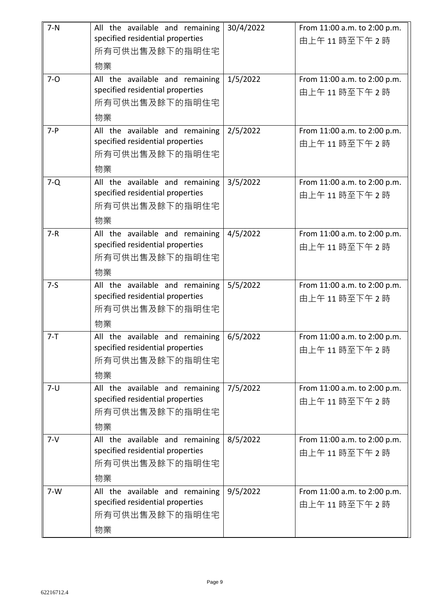| $7-N$   | All the available and remaining<br>specified residential properties                         | 30/4/2022 | From 11:00 a.m. to 2:00 p.m.<br>由上午11時至下午2時 |
|---------|---------------------------------------------------------------------------------------------|-----------|---------------------------------------------|
|         | 所有可供出售及餘下的指明住宅<br>物業                                                                        |           |                                             |
| $7 - 0$ | All the available and remaining<br>specified residential properties<br>所有可供出售及餘下的指明住宅<br>物業 | 1/5/2022  | From 11:00 a.m. to 2:00 p.m.<br>由上午11時至下午2時 |
| $7 - P$ | All the available and remaining<br>specified residential properties<br>所有可供出售及餘下的指明住宅<br>物業 | 2/5/2022  | From 11:00 a.m. to 2:00 p.m.<br>由上午11時至下午2時 |
| $7-Q$   | All the available and remaining<br>specified residential properties<br>所有可供出售及餘下的指明住宅<br>物業 | 3/5/2022  | From 11:00 a.m. to 2:00 p.m.<br>由上午11時至下午2時 |
| $7 - R$ | All the available and remaining<br>specified residential properties<br>所有可供出售及餘下的指明住宅<br>物業 | 4/5/2022  | From 11:00 a.m. to 2:00 p.m.<br>由上午11時至下午2時 |
| $7-5$   | All the available and remaining<br>specified residential properties<br>所有可供出售及餘下的指明住宅<br>物業 | 5/5/2022  | From 11:00 a.m. to 2:00 p.m.<br>由上午11時至下午2時 |
| $7 - T$ | All the available and remaining<br>specified residential properties<br>所有可供出售及餘下的指明住宅<br>物業 | 6/5/2022  | From 11:00 a.m. to 2:00 p.m.<br>由上午11時至下午2時 |
| $7 - U$ | All the available and remaining<br>specified residential properties<br>所有可供出售及餘下的指明住宅<br>物業 | 7/5/2022  | From 11:00 a.m. to 2:00 p.m.<br>由上午11時至下午2時 |
| $7 - V$ | All the available and remaining<br>specified residential properties<br>所有可供出售及餘下的指明住宅<br>物業 | 8/5/2022  | From 11:00 a.m. to 2:00 p.m.<br>由上午11時至下午2時 |
| $7-W$   | All the available and remaining<br>specified residential properties<br>所有可供出售及餘下的指明住宅<br>物業 | 9/5/2022  | From 11:00 a.m. to 2:00 p.m.<br>由上午11時至下午2時 |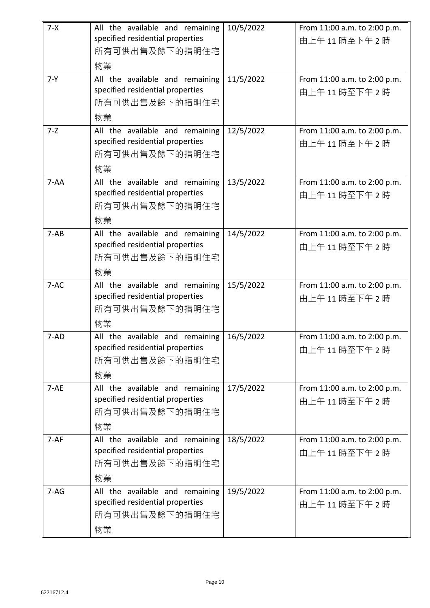| $7 - X$  | All the available and remaining  | 10/5/2022 | From 11:00 a.m. to 2:00 p.m. |
|----------|----------------------------------|-----------|------------------------------|
|          | specified residential properties |           | 由上午11時至下午2時                  |
|          | 所有可供出售及餘下的指明住宅                   |           |                              |
|          | 物業                               |           |                              |
| $7 - Y$  | All the available and remaining  | 11/5/2022 | From 11:00 a.m. to 2:00 p.m. |
|          | specified residential properties |           | 由上午11時至下午2時                  |
|          | 所有可供出售及餘下的指明住宅                   |           |                              |
|          | 物業                               |           |                              |
| $7 - Z$  | All the available and remaining  | 12/5/2022 | From 11:00 a.m. to 2:00 p.m. |
|          | specified residential properties |           | 由上午11時至下午2時                  |
|          | 所有可供出售及餘下的指明住宅                   |           |                              |
|          | 物業                               |           |                              |
| $7 - AA$ | All the available and remaining  | 13/5/2022 | From 11:00 a.m. to 2:00 p.m. |
|          | specified residential properties |           | 由上午11時至下午2時                  |
|          | 所有可供出售及餘下的指明住宅                   |           |                              |
|          | 物業                               |           |                              |
| $7 - AB$ | All the available and remaining  | 14/5/2022 | From 11:00 a.m. to 2:00 p.m. |
|          | specified residential properties |           | 由上午11時至下午2時                  |
|          | 所有可供出售及餘下的指明住宅                   |           |                              |
|          | 物業                               |           |                              |
| $7-AC$   | All the available and remaining  | 15/5/2022 | From 11:00 a.m. to 2:00 p.m. |
|          | specified residential properties |           | 由上午11時至下午2時                  |
|          | 所有可供出售及餘下的指明住宅                   |           |                              |
|          | 物業                               |           |                              |
| $7 - AD$ | All the available and remaining  | 16/5/2022 | From 11:00 a.m. to 2:00 p.m. |
|          | specified residential properties |           | 由上午11時至下午2時                  |
|          | 所有可供出售及餘下的指明住宅                   |           |                              |
|          | 物業                               |           |                              |
| $7 - AE$ | All the available and remaining  | 17/5/2022 | From 11:00 a.m. to 2:00 p.m. |
|          | specified residential properties |           | 由上午11時至下午2時                  |
|          | 所有可供出售及餘下的指明住宅                   |           |                              |
|          | 物業                               |           |                              |
| $7-AF$   | All the available and remaining  | 18/5/2022 | From 11:00 a.m. to 2:00 p.m. |
|          | specified residential properties |           | 由上午11時至下午2時                  |
|          | 所有可供出售及餘下的指明住宅                   |           |                              |
|          | 物業                               |           |                              |
| $7 - AG$ | All the available and remaining  | 19/5/2022 | From 11:00 a.m. to 2:00 p.m. |
|          | specified residential properties |           | 由上午11時至下午2時                  |
|          | 所有可供出售及餘下的指明住宅                   |           |                              |
|          | 物業                               |           |                              |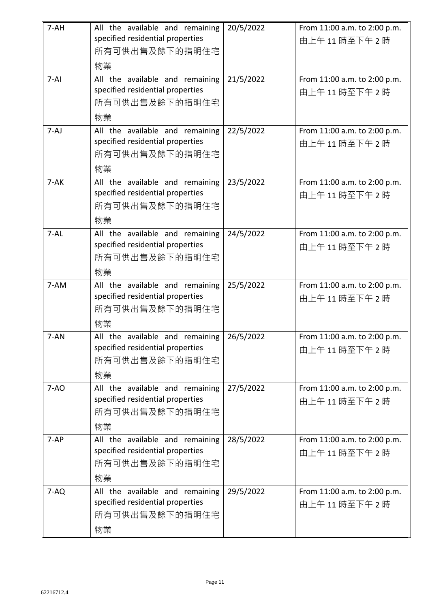| $7-AH$   | All the available and remaining<br>specified residential properties<br>所有可供出售及餘下的指明住宅<br>物業 | 20/5/2022 | From 11:00 a.m. to 2:00 p.m.<br>由上午11時至下午2時 |
|----------|---------------------------------------------------------------------------------------------|-----------|---------------------------------------------|
| $7-AI$   | All the available and remaining<br>specified residential properties<br>所有可供出售及餘下的指明住宅<br>物業 | 21/5/2022 | From 11:00 a.m. to 2:00 p.m.<br>由上午11時至下午2時 |
| $7-AJ$   | All the available and remaining<br>specified residential properties<br>所有可供出售及餘下的指明住宅<br>物業 | 22/5/2022 | From 11:00 a.m. to 2:00 p.m.<br>由上午11時至下午2時 |
| $7 - AK$ | All the available and remaining<br>specified residential properties<br>所有可供出售及餘下的指明住宅<br>物業 | 23/5/2022 | From 11:00 a.m. to 2:00 p.m.<br>由上午11時至下午2時 |
| $7 - AL$ | All the available and remaining<br>specified residential properties<br>所有可供出售及餘下的指明住宅<br>物業 | 24/5/2022 | From 11:00 a.m. to 2:00 p.m.<br>由上午11時至下午2時 |
| 7-AM     | All the available and remaining<br>specified residential properties<br>所有可供出售及餘下的指明住宅<br>物業 | 25/5/2022 | From 11:00 a.m. to 2:00 p.m.<br>由上午11時至下午2時 |
| $7 - AN$ | All the available and remaining<br>specified residential properties<br>所有可供出售及餘下的指明住宅<br>物業 | 26/5/2022 | From 11:00 a.m. to 2:00 p.m.<br>由上午11時至下午2時 |
| $7 - AO$ | All the available and remaining<br>specified residential properties<br>所有可供出售及餘下的指明住宅<br>物業 | 27/5/2022 | From 11:00 a.m. to 2:00 p.m.<br>由上午11時至下午2時 |
| $7-AP$   | All the available and remaining<br>specified residential properties<br>所有可供出售及餘下的指明住宅<br>物業 | 28/5/2022 | From 11:00 a.m. to 2:00 p.m.<br>由上午11時至下午2時 |
| $7-AQ$   | All the available and remaining<br>specified residential properties<br>所有可供出售及餘下的指明住宅<br>物業 | 29/5/2022 | From 11:00 a.m. to 2:00 p.m.<br>由上午11時至下午2時 |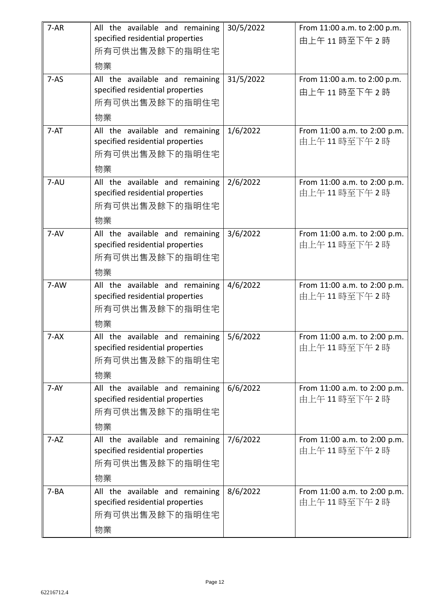| $7 - AR$ | All the available and remaining<br>specified residential properties<br>所有可供出售及餘下的指明住宅<br>物業 | 30/5/2022 | From 11:00 a.m. to 2:00 p.m.<br>由上午11時至下午2時 |
|----------|---------------------------------------------------------------------------------------------|-----------|---------------------------------------------|
| $7 - AS$ | All the available and remaining<br>specified residential properties<br>所有可供出售及餘下的指明住宅<br>物業 | 31/5/2022 | From 11:00 a.m. to 2:00 p.m.<br>由上午11時至下午2時 |
| $7 - AT$ | All the available and remaining<br>specified residential properties<br>所有可供出售及餘下的指明住宅<br>物業 | 1/6/2022  | From 11:00 a.m. to 2:00 p.m.<br>由上午11時至下午2時 |
| 7-AU     | All the available and remaining<br>specified residential properties<br>所有可供出售及餘下的指明住宅<br>物業 | 2/6/2022  | From 11:00 a.m. to 2:00 p.m.<br>由上午11時至下午2時 |
| $7 - AV$ | All the available and remaining<br>specified residential properties<br>所有可供出售及餘下的指明住宅<br>物業 | 3/6/2022  | From 11:00 a.m. to 2:00 p.m.<br>由上午11時至下午2時 |
| $7 - AW$ | All the available and remaining<br>specified residential properties<br>所有可供出售及餘下的指明住宅<br>物業 | 4/6/2022  | From 11:00 a.m. to 2:00 p.m.<br>由上午11時至下午2時 |
| $7 - AX$ | All the available and remaining<br>specified residential properties<br>所有可供出售及餘下的指明住宅<br>物業 | 5/6/2022  | From 11:00 a.m. to 2:00 p.m.<br>由上午11時至下午2時 |
| $7 - AY$ | All the available and remaining<br>specified residential properties<br>所有可供出售及餘下的指明住宅<br>物業 | 6/6/2022  | From 11:00 a.m. to 2:00 p.m.<br>由上午11時至下午2時 |
| $7 - AZ$ | All the available and remaining<br>specified residential properties<br>所有可供出售及餘下的指明住宅<br>物業 | 7/6/2022  | From 11:00 a.m. to 2:00 p.m.<br>由上午11時至下午2時 |
| $7 - BA$ | All the available and remaining<br>specified residential properties<br>所有可供出售及餘下的指明住宅<br>物業 | 8/6/2022  | From 11:00 a.m. to 2:00 p.m.<br>由上午11時至下午2時 |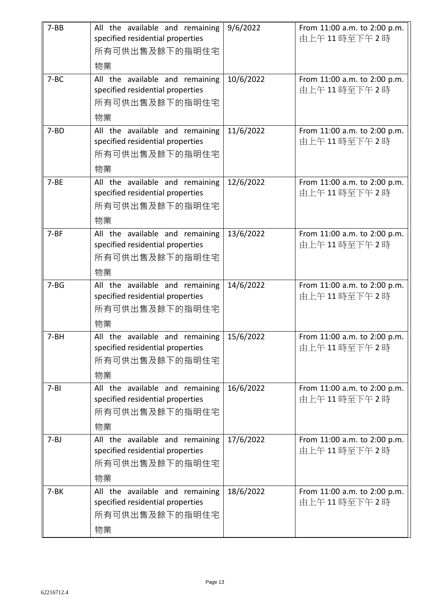| $7-BB$   | All the available and remaining<br>specified residential properties<br>所有可供出售及餘下的指明住宅<br>物業 | 9/6/2022  | From 11:00 a.m. to 2:00 p.m.<br>由上午11時至下午2時 |
|----------|---------------------------------------------------------------------------------------------|-----------|---------------------------------------------|
| $7 - BC$ | All the available and remaining<br>specified residential properties<br>所有可供出售及餘下的指明住宅<br>物業 | 10/6/2022 | From 11:00 a.m. to 2:00 p.m.<br>由上午11時至下午2時 |
| $7 - BD$ | All the available and remaining<br>specified residential properties<br>所有可供出售及餘下的指明住宅<br>物業 | 11/6/2022 | From 11:00 a.m. to 2:00 p.m.<br>由上午11時至下午2時 |
| $7 - BE$ | All the available and remaining<br>specified residential properties<br>所有可供出售及餘下的指明住宅<br>物業 | 12/6/2022 | From 11:00 a.m. to 2:00 p.m.<br>由上午11時至下午2時 |
| $7 - BF$ | All the available and remaining<br>specified residential properties<br>所有可供出售及餘下的指明住宅<br>物業 | 13/6/2022 | From 11:00 a.m. to 2:00 p.m.<br>由上午11時至下午2時 |
| $7 - BG$ | All the available and remaining<br>specified residential properties<br>所有可供出售及餘下的指明住宅<br>物業 | 14/6/2022 | From 11:00 a.m. to 2:00 p.m.<br>由上午11時至下午2時 |
| 7-BH     | All the available and remaining<br>specified residential properties<br>所有可供出售及餘下的指明住宅<br>物業 | 15/6/2022 | From 11:00 a.m. to 2:00 p.m.<br>由上午11時至下午2時 |
| $7 - B1$ | All the available and remaining<br>specified residential properties<br>所有可供出售及餘下的指明住宅<br>物業 | 16/6/2022 | From 11:00 a.m. to 2:00 p.m.<br>由上午11時至下午2時 |
| $7 - BJ$ | All the available and remaining<br>specified residential properties<br>所有可供出售及餘下的指明住宅<br>物業 | 17/6/2022 | From 11:00 a.m. to 2:00 p.m.<br>由上午11時至下午2時 |
| $7-BK$   | All the available and remaining<br>specified residential properties<br>所有可供出售及餘下的指明住宅<br>物業 | 18/6/2022 | From 11:00 a.m. to 2:00 p.m.<br>由上午11時至下午2時 |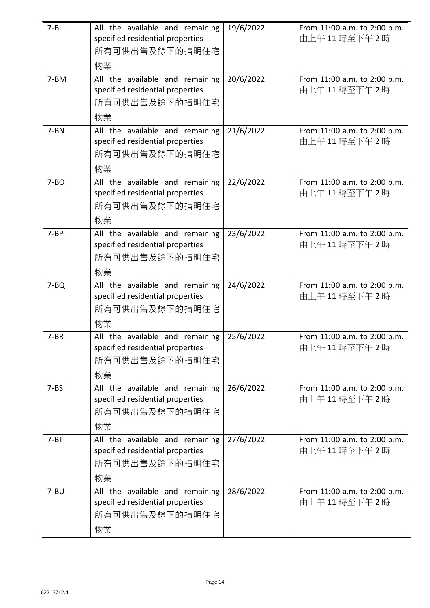| $7 - BL$  | All the available and remaining<br>specified residential properties<br>所有可供出售及餘下的指明住宅<br>物業 | 19/6/2022 | From 11:00 a.m. to 2:00 p.m.<br>由上午11時至下午2時 |
|-----------|---------------------------------------------------------------------------------------------|-----------|---------------------------------------------|
| 7-BM      | All the available and remaining<br>specified residential properties<br>所有可供出售及餘下的指明住宅<br>物業 | 20/6/2022 | From 11:00 a.m. to 2:00 p.m.<br>由上午11時至下午2時 |
| $7 - BN$  | All the available and remaining<br>specified residential properties<br>所有可供出售及餘下的指明住宅<br>物業 | 21/6/2022 | From 11:00 a.m. to 2:00 p.m.<br>由上午11時至下午2時 |
| $7 - BO$  | All the available and remaining<br>specified residential properties<br>所有可供出售及餘下的指明住宅<br>物業 | 22/6/2022 | From 11:00 a.m. to 2:00 p.m.<br>由上午11時至下午2時 |
| $7 - BP$  | All the available and remaining<br>specified residential properties<br>所有可供出售及餘下的指明住宅<br>物業 | 23/6/2022 | From 11:00 a.m. to 2:00 p.m.<br>由上午11時至下午2時 |
| $7 - BQ$  | All the available and remaining<br>specified residential properties<br>所有可供出售及餘下的指明住宅<br>物業 | 24/6/2022 | From 11:00 a.m. to 2:00 p.m.<br>由上午11時至下午2時 |
| $7 - BR$  | All the available and remaining<br>specified residential properties<br>所有可供出售及餘下的指明住宅<br>物業 | 25/6/2022 | From 11:00 a.m. to 2:00 p.m.<br>由上午11時至下午2時 |
| $7 - BS$  | All the available and remaining<br>specified residential properties<br>所有可供出售及餘下的指明住宅<br>物業 | 26/6/2022 | From 11:00 a.m. to 2:00 p.m.<br>由上午11時至下午2時 |
| $7 - BT$  | All the available and remaining<br>specified residential properties<br>所有可供出售及餘下的指明住宅<br>物業 | 27/6/2022 | From 11:00 a.m. to 2:00 p.m.<br>由上午11時至下午2時 |
| $7 - B$ U | All the available and remaining<br>specified residential properties<br>所有可供出售及餘下的指明住宅<br>物業 | 28/6/2022 | From 11:00 a.m. to 2:00 p.m.<br>由上午11時至下午2時 |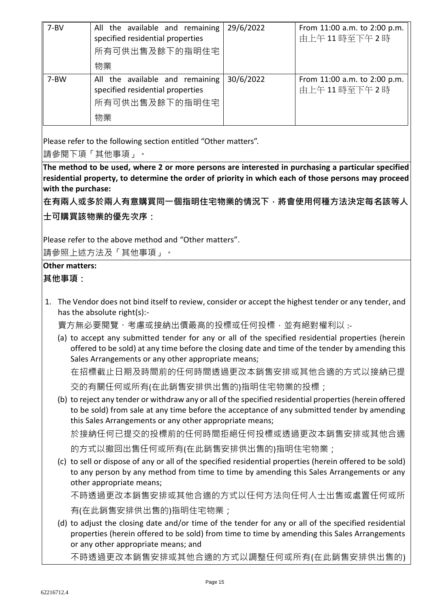| $7 - BV$ | All the available and remaining<br>specified residential properties<br>所有可供出售及餘下的指明住宅<br>物業 | 29/6/2022 | From 11:00 a.m. to 2:00 p.m.<br>由上午11時至下午2時 |
|----------|---------------------------------------------------------------------------------------------|-----------|---------------------------------------------|
| 7-BW     | All the available and remaining<br>specified residential properties<br>所有可供出售及餘下的指明住宅<br>物業 | 30/6/2022 | From 11:00 a.m. to 2:00 p.m.<br>由上午11時至下午2時 |

Please refer to the following section entitled "Other matters".

請參閱下項「其他事項」。

**The method to be used, where 2 or more persons are interested in purchasing a particular specified residential property, to determine the order of priority in which each of those persons may proceed with the purchase:**

**在有兩人或多於兩人有意購買同一個指明住宅物業的情況下,將會使用何種方法決定每名該等人**

**士可購買該物業的優先次序:**

Please refer to the above method and "Other matters".

請參照上述方法及「其他事項」。

## **Other matters:**

**其他事項:**

1. The Vendor does not bind itself to review, consider or accept the highest tender or any tender, and has the absolute right(s):-

賣方無必要閱覽、考慮或接納出價最高的投標或任何投標,並有絕對權利以 :-

(a) to accept any submitted tender for any or all of the specified residential properties (herein offered to be sold) at any time before the closing date and time of the tender by amending this Sales Arrangements or any other appropriate means;

在招標截止日期及時間前的任何時間透過更改本銷售安排或其他合適的方式以接納已提 交的有關任何或所有(在此銷售安排供出售的)指明住宅物業的投標;

(b) to reject any tender or withdraw any or all of the specified residential properties (herein offered to be sold) from sale at any time before the acceptance of any submitted tender by amending this Sales Arrangements or any other appropriate means;

於接納任何已提交的投標前的任何時間拒絕任何投標或透過更改本銷售安排或其他合適 的方式以撤回出售任何或所有(在此銷售安排供出售的)指明住宅物業;

(c) to sell or dispose of any or all of the specified residential properties (herein offered to be sold) to any person by any method from time to time by amending this Sales Arrangements or any other appropriate means;

不時透過更改本銷售安排或其他合適的方式以任何方法向任何人士出售或處置任何或所 有(在此銷售安排供出售的)指明住宅物業;

(d) to adjust the closing date and/or time of the tender for any or all of the specified residential properties (herein offered to be sold) from time to time by amending this Sales Arrangements or any other appropriate means; and

不時透過更改本銷售安排或其他合適的方式以調整任何或所有(在此銷售安排供出售的)